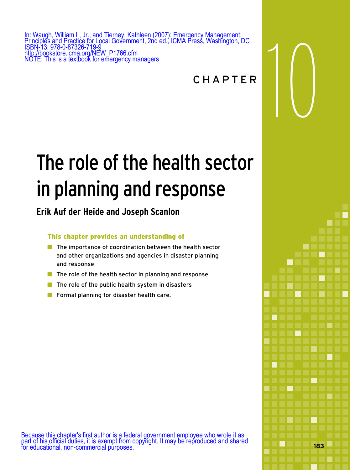In: Waugh, William L, Jr., and Tierney, Kathleen (2007): Emergency Management:<br>Principles and Practice for Local Government, 2nd ed., ICMA Press, Washington, DC<br>ISBN-13: 978-0-87326-719-9<br>Mttp://bookstore.icma.org/NEW\_P176 Principles and Practice for Local Government, 2nd ed., ICMA Press, Washington, DC ISBN-13: 978-0-87326-719-9 http://bookstore.icma.org/NEW\_P1766.cfm NOTE: This is a textbook for emergency managers

�

**183** 

# The role of the health sector in planning and response

# **Erik Auf der Heide and Joseph Scanlon**

# This chapter provides an understanding of

- $\blacksquare$  The importance of coordination between the health sector and other organizations and agencies in disaster planning and response
- $\blacksquare$  The role of the health sector in planning and response
- $\blacksquare$  The role of the public health system in disasters
- Formal planning for disaster health care.

Because this chapter's first author is a federal government employee who wrote it as part of his official duties, it is exempt from copyright. It may be reproduced and shared for educational, non-commercial purposes.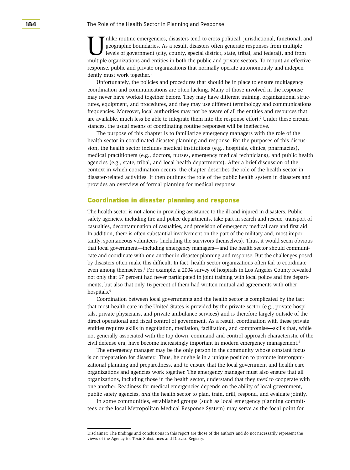nlike routine emergencies, disasters tend to cross political, jurisdictional, functional, and geographic boundaries. As a result, disasters often generate responses from multiple levels of government (city, county, special district, state, tribal, and federal), and from multiple organizations and entities in both the public and private sectors. To mount an effective response, public and private organizations that normally operate autonomously and independently must work together.<sup>1</sup>

Unfortunately, the policies and procedures that should be in place to ensure multiagency coordination and communications are often lacking. Many of those involved in the response may never have worked together before. They may have different training, organizational structures, equipment, and procedures, and they may use different terminology and communications frequencies. Moreover, local authorities may not be aware of all the entities and resources that are available, much less be able to integrate them into the response effort.<sup>2</sup> Under these circumstances, the usual means of coordinating routine responses will be ineffective.

The purpose of this chapter is to familiarize emergency managers with the role of the health sector in coordinated disaster planning and response. For the purposes of this discussion, the health sector includes medical institutions (e.g., hospitals, clinics, pharmacies), medical practitioners (e.g., doctors, nurses, emergency medical technicians), and public health agencies (e.g., state, tribal, and local health departments). After a brief discussion of the context in which coordination occurs, the chapter describes the role of the health sector in disaster-related activities. It then outlines the role of the public health system in disasters and provides an overview of formal planning for medical response.

#### Coordination in disaster planning and response

The health sector is not alone in providing assistance to the ill and injured in disasters. Public safety agencies, including fire and police departments, take part in search and rescue, transport of casualties, decontamination of casualties, and provision of emergency medical care and first aid. In addition, there is often substantial involvement on the part of the military and, most importantly, spontaneous volunteers (including the survivors themselves). Thus, it would seem obvious that local government—including emergency managers—and the health sector should communicate and coordinate with one another in disaster planning and response. But the challenges posed by disasters often make this difficult. In fact, health sector organizations often fail to coordinate even among themselves.<sup>3</sup> For example, a 2004 survey of hospitals in Los Angeles County revealed not only that 67 percent had never participated in joint training with local police and fire departments, but also that only 16 percent of them had written mutual aid agreements with other hospitals.4

Coordination between local governments and the health sector is complicated by the fact that most health care in the United States is provided by the private sector (e.g., private hospitals, private physicians, and private ambulance services) and is therefore largely outside of the direct operational and fiscal control of government. As a result, coordination with these private entities requires skills in negotiation, mediation, facilitation, and compromise—skills that, while not generally associated with the top-down, command-and-control approach characteristic of the civil defense era, have become increasingly important in modern emergency management.<sup>5</sup>

The emergency manager may be the only person in the community whose constant focus is on preparation for disaster.<sup>6</sup> Thus, he or she is in a unique position to promote interorganizational planning and preparedness, and to ensure that the local government and health care organizations and agencies work together. The emergency manager must also ensure that all organizations, including those in the health sector, understand that they *need* to cooperate with one another. Readiness for medical emergencies depends on the ability of local government, public safety agencies, *and* the health sector to plan, train, drill, respond, and evaluate jointly.

In some communities, established groups (such as local emergency planning committees or the local Metropolitan Medical Response System) may serve as the focal point for

Disclaimer: The findings and conclusions in this report are those of the authors and do not necessarily represent the views of the Agency for Toxic Substances and Disease Registry.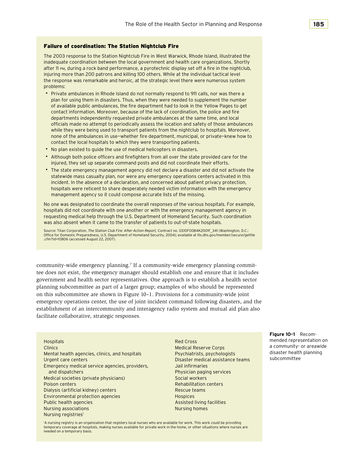#### Failure of coordination: The Station Nightclub Fire

The 2003 response to the Station Nightclub Fire in West Warwick, Rhode Island, illustrated the inadequate coordination between the local government and health care organizations. Shortly after 11 pm, during a rock band performance, a pyrotechnic display set off a fire in the nightclub, injuring more than 200 patrons and killing 100 others. While at the individual tactical level the response was remarkable and heroic, at the strategic level there were numerous system problems:

- Private ambulances in Rhode Island do not normally respond to 911 calls, nor was there a plan for using them in disasters. Thus, when they were needed to supplement the number of available public ambulances, the fire department had to look in the Yellow Pages to get contact information. Moreover, because of the lack of coordination, the police and fire departments independently requested private ambulances at the same time, and local officials made no attempt to periodically assess the location and safety of those ambulances while they were being used to transport patients from the nightclub to hospitals. Moreover, none of the ambulances in use-whether fire department, municipal, or private-knew how to contact the local hospitals to which they were transporting patients.
- No plan existed to guide the use of medical helicopters in disasters.
- • �Although both police officers and firefighters from all over the state provided care for the injured, they set up separate command posts and did not coordinate their efforts.
- The state emergency management agency did not declare a disaster and did not activate the statewide mass casualty plan, nor were any emergency operations centers activated in this incident. In the absence of a declaration, and concerned about patient privacy protection, hospitals were reticent to share desperately needed victim information with the emergency management agency so it could compose accurate lists of the missing.

No one was designated to coordinate the overall responses of the various hospitals. For example, hospitals did not coordinate with one another or with the emergency management agency in requesting medical help through the U.S. Department of Homeland Security. Such coordination was also absent when it came to the transfer of patients to out-of-state hospitals.

Source: Titan Corporation, *The Station Club Fire: After-Action Report,* Contract no. GS10F0084K2001F\_341 (Washington, D.C.: Office for Domestic Preparedness, U.S. Department of Homeland Security, 2004); available at llis.dhs.gov/member/secure/getfile .cfm?id=10806 (accessed August 22, 2007).

community-wide emergency planning.<sup>7</sup> If a community-wide emergency planning committee does not exist, the emergency manager should establish one and ensure that it includes government and health sector representatives. One approach is to establish a health sector planning subcommittee as part of a larger group; examples of who should be represented on this subcommittee are shown in Figure 10–1. Provisions for a community-wide joint emergency operations center, the use of joint incident command following disasters, and the establishment of an intercommunity and interagency radio system and mutual aid plan also facilitate collaborative, strategic responses.

Hospitals Red Cross mended representation on Clinics and bosis and provided a community- or areawide<br>
Medical Reserve Corps a community- or areawide<br>
Mental health agencies clinics and bospitals executively reveniencies are provided as a community- or areawide Mental health agencies, clinics, and hospitals Psychiatrists, psychologists disaster health planning disaster<br>Planning planning planning product product product product subcommittee Urgent care centers **Disaster medical assistance teams** subcommittee  $\blacksquare$ Emergency medical service agencies, providers, Jail infirmaries and dispatchers **Physician paging services** Medical societies (private physicians) Social workers **Poison centers Rehabilitation centers Rehabilitation centers** Dialysis (artificial kidney) centers **Rescue teams** Rescue teams Environmental protection agencies and the environmental protection agencies Public health agencies Assisted living facilities Assisted living facilities Nursing associations Nursing homes Nursing registries<sup>1</sup>

1 A nursing registry is an organization that registers local nurses who are available for work. This work could be providing temporary coverage at hospitals, making nurses available for private work in the home, or other situations where nurses are needed on a temporary basis.

**Figure 10–1** Recom-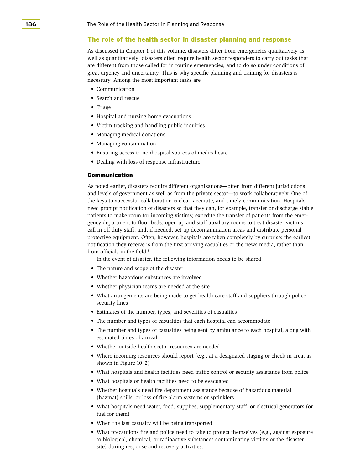#### The role of the health sector in disaster planning and response

As discussed in Chapter 1 of this volume, disasters differ from emergencies qualitatively as well as quantitatively: disasters often require health sector responders to carry out tasks that are different from those called for in routine emergencies, and to do so under conditions of great urgency and uncertainty. This is why specific planning and training for disasters is necessary. Among the most important tasks are

- Communication
- Search and rescue
- Triage
- • Hospital and nursing home evacuations
- • Victim tracking and handling public inquiries
- • Managing medical donations
- Managing contamination
- • Ensuring access to nonhospital sources of medical care
- • Dealing with loss of response infrastructure.

#### Communication

 the keys to successful collaboration is clear, accurate, and timely communication. Hospitals As noted earlier, disasters require different organizations—often from different jurisdictions and levels of government as well as from the private sector—to work collaboratively. One of need prompt notification of disasters so that they can, for example, transfer or discharge stable patients to make room for incoming victims; expedite the transfer of patients from the emergency department to floor beds; open up and staff auxiliary rooms to treat disaster victims; call in off-duty staff; and, if needed, set up decontamination areas and distribute personal protective equipment. Often, however, hospitals are taken completely by surprise: the earliest notification they receive is from the first arriving casualties or the news media, rather than from officials in the field.<sup>8</sup>

In the event of disaster, the following information needs to be shared:

- The nature and scope of the disaster
- • Whether hazardous substances are involved
- Whether physician teams are needed at the site
- What arrangements are being made to get health care staff and suppliers through police security lines
- Estimates of the number, types, and severities of casualties
- The number and types of casualties that each hospital can accommodate
- The number and types of casualties being sent by ambulance to each hospital, along with estimated times of arrival
- • Whether outside health sector resources are needed
- Where incoming resources should report (e.g., at a designated staging or check-in area, as shown in Figure 10–2)
- • What hospitals and health facilities need traffic control or security assistance from police
- What hospitals or health facilities need to be evacuated
- • Whether hospitals need fire department assistance because of hazardous material (hazmat) spills, or loss of fire alarm systems or sprinklers
- • What hospitals need water, food, supplies, supplementary staff, or electrical generators (or fuel for them)
- When the last casualty will be being transported
- What precautions fire and police need to take to protect themselves (e.g., against exposure to biological, chemical, or radioactive substances contaminating victims or the disaster site) during response and recovery activities.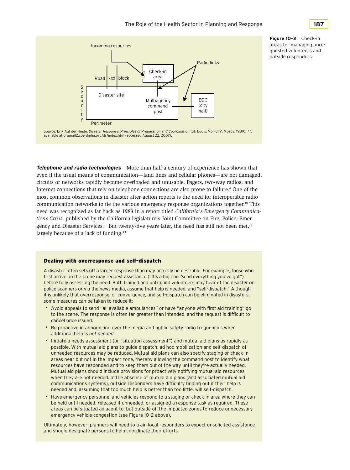

**Figure 10–2** Check-in areas for managing unrequested volunteers and outside responders

Source: Erik Auf der Heide, *Disaster Response: Principles of Preparation and Coordination* (St. Louis, Mo.: C. V. Mosby, 1989), 77, available at orgmail2.coe-dmha.org/dr/index.htm (accessed August 22, 2007).

 *tions Crisis,* published by the California legislature's Joint Committee on Fire, Police, Emer-**Telephone and radio technologies** More than half a century of experience has shown that even if the usual means of communication—land lines and cellular phones—are not damaged, circuits or networks rapidly become overloaded and unusable. Pagers, two-way radios, and Internet connections that rely on telephone connections are also prone to failure.<sup>9</sup> One of the most common observations in disaster after-action reports is the need for interoperable radio communication networks to tie the various emergency response organizations together.10 This need was recognized as far back as 1983 in a report titled *California's Emergency Communica*gency and Disaster Services.<sup>11</sup> But twenty-five years later, the need has still not been met,<sup>12</sup> largely because of a lack of funding.<sup>13</sup>

#### Dealing with overresponse and self-dispatch

A disaster often sets off a larger response than may actually be desirable. For example, those who first arrive on the scene may request assistance ("It's a big one. Send everything you've got") before fully assessing the need. Both trained and untrained volunteers may hear of the disaster on police scanners or via the news media, assume that help is needed, and "self-dispatch." Although it is unlikely that overresponse, or convergence, and self-dispatch can be eliminated in disasters, some measures can be taken to reduce it:

- • �Avoid appeals to send "all available ambulances" or have "anyone with first aid training" go to the scene. The response is often far greater than intended, and the request is difficult to cancel once issued.
- Be proactive in announcing over the media and public safety radio frequencies when additional help is *not needed.*
- Initiate a needs assessment (or "situation assessment") and mutual aid plans as rapidly as possible. With mutual aid plans to guide dispatch, ad hoc mobilization and self-dispatch of unneeded resources may be reduced. Mutual aid plans can also specify staging or check-in areas near but not in the impact zone, thereby allowing the command post to identify what resources have responded and to keep them out of the way until they're actually needed. Mutual aid plans should include provisions for proactively notifying mutual aid resources when they are not needed. In the absence of mutual aid plans (and associated mutual aid communications systems), outside responders have difficulty finding out if their help is needed and, assuming that too much help is better than too little, will self-dispatch.
- Have emergency personnel and vehicles respond to a staging or check-in area where they can be held until needed, released if unneeded, or assigned a response task as required. These areas can be situated adjacent to, but outside of, the impacted zones to reduce unnecessary emergency vehicle congestion (see Figure 10–2 above).

Ultimately, however, planners will need to train local responders to expect unsolicited assistance and should designate persons to help coordinate their efforts.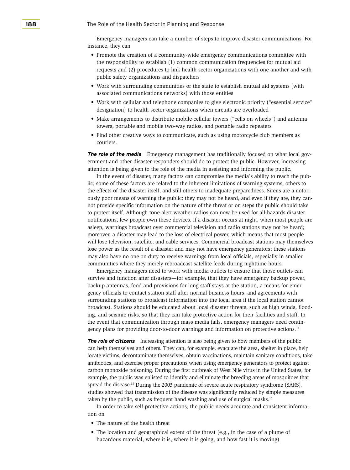Emergency managers can take a number of steps to improve disaster communications. For instance, they can

- • Promote the creation of a community-wide emergency communications committee with the responsibility to establish (1) common communication frequencies for mutual aid requests and (2) procedures to link health sector organizations with one another and with public safety organizations and dispatchers
- • Work with surrounding communities or the state to establish mutual aid systems (with associated communications networks) with those entities
- • Work with cellular and telephone companies to give electronic priority ("essential service" designation) to health sector organizations when circuits are overloaded
- Make arrangements to distribute mobile cellular towers ("cells on wheels") and antenna towers, portable and mobile two-way radios, and portable radio repeaters
- Find other creative ways to communicate, such as using motorcycle club members as couriers.

**The role of the media** Emergency management has traditionally focused on what local gov- ernment and other disaster responders should do to protect the public. However, increasing attention is being given to the role of the media in assisting and informing the public.

In the event of disaster, many factors can compromise the media's ability to reach the public; some of these factors are related to the inherent limitations of warning systems, others to the effects of the disaster itself, and still others to inadequate preparedness. Sirens are a notoriously poor means of warning the public: they may not be heard, and even if they are, they cannot provide specific information on the nature of the threat or on steps the public should take to protect itself. Although tone-alert weather radios can now be used for all-hazards disaster notifications, few people own these devices. If a disaster occurs at night, when most people are asleep, warnings broadcast over commercial television and radio stations may not be heard; moreover, a disaster may lead to the loss of electrical power, which means that most people will lose television, satellite, and cable services. Commercial broadcast stations may themselves lose power as the result of a disaster and may not have emergency generators; these stations may also have no one on duty to receive warnings from local officials, especially in smaller communities where they merely rebroadcast satellite feeds during nighttime hours.

 Emergency managers need to work with media outlets to ensure that those outlets can survive and function after disasters—for example, that they have emergency backup power, backup antennas, food and provisions for long staff stays at the station, a means for emergency officials to contact station staff after normal business hours, and agreements with surrounding stations to broadcast information into the local area if the local station cannot broadcast. Stations should be educated about local disaster threats, such as high winds, flooding, and seismic risks, so that they can take protective action for their facilities and staff. In the event that communication through mass media fails, emergency managers need contingency plans for providing door-to-door warnings and information on protective actions.14

 carbon monoxide poisoning. During the first outbreak of West Nile virus in the United States, for **The role of citizens** Increasing attention is also being given to how members of the public can help themselves and others. They can, for example, evacuate the area, shelter in place, help locate victims, decontaminate themselves, obtain vaccinations, maintain sanitary conditions, take antibiotics, and exercise proper precautions when using emergency generators to protect against example, the public was enlisted to identify and eliminate the breeding areas of mosquitoes that spread the disease.<sup>15</sup> During the 2003 pandemic of severe acute respiratory syndrome (SARS), studies showed that transmission of the disease was significantly reduced by simple measures taken by the public, such as frequent hand washing and use of surgical masks.16

In order to take self-protective actions, the public needs accurate and consistent information on

- The nature of the health threat
- The location and geographical extent of the threat (e.g., in the case of a plume of hazardous material, where it is, where it is going, and how fast it is moving)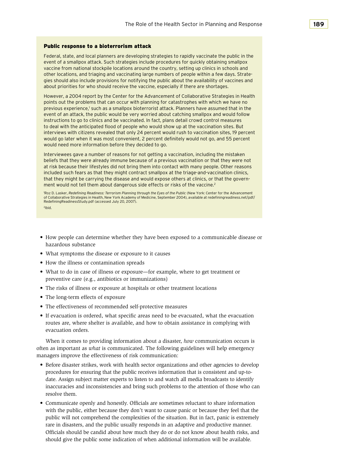#### Public response to a bioterrorism attack

Federal, state, and local planners are developing strategies to rapidly vaccinate the public in the event of a smallpox attack. Such strategies include procedures for quickly obtaining smallpox vaccine from national stockpile locations around the country, setting up clinics in schools and other locations, and triaging and vaccinating large numbers of people within a few days. Strategies should also include provisions for notifying the public about the availability of vaccines and about priorities for who should receive the vaccine, especially if there are shortages.

However, a 2004 report by the Center for the Advancement of Collaborative Strategies in Health points out the problems that can occur with planning for catastrophes with which we have no previous experience,<sup>1</sup> such as a smallpox bioterrorist attack. Planners have assumed that in the event of an attack, the public would be very worried about catching smallpox and would follow instructions to go to clinics and be vaccinated. In fact, plans detail crowd control measures to deal with the anticipated flood of people who would show up at the vaccination sites. But interviews with citizens revealed that only 24 percent would rush to vaccination sites, 19 percent would go later when it was most convenient, 2 percent definitely would not go, and 55 percent would need more information before they decided to go.

Interviewees gave a number of reasons for not getting a vaccination, including the mistaken beliefs that they were already immune because of a previous vaccination or that they were not at risk because their lifestyles did not bring them into contact with many people. Other reasons included such fears as that they might contract smallpox at the triage-and-vaccination clinics, that they might be carrying the disease and would expose others at clinics, or that the government would not tell them about dangerous side effects or risks of the vaccine.<sup>2</sup>

1 Roz D. Lasker, *Redefining Readiness: Terrorism Planning through the Eyes of the Public* (New York: Center for the Advancement of Collaborative Strategies in Health, New York Academy of Medicine, September 2004), available at redefiningreadiness.net/pdf/ RedefiningReadinessStudy.pdf (accessed July 20, 2007). 2 Ibid.

- • How people can determine whether they have been exposed to a communicable disease or hazardous substance
- • What symptoms the disease or exposure to it causes
- How the illness or contamination spreads
- • What to do in case of illness or exposure—for example, where to get treatment or preventive care (e.g., antibiotics or immunizations)
- The risks of illness or exposure at hospitals or other treatment locations
- The long-term effects of exposure
- The effectiveness of recommended self-protective measures
- If evacuation is ordered, what specific areas need to be evacuated, what the evacuation routes are, where shelter is available, and how to obtain assistance in complying with evacuation orders.

 When it comes to providing information about a disaster, *how* communication occurs is often as important as *what* is communicated. The following guidelines will help emergency managers improve the effectiveness of risk communication:

- Before disaster strikes, work with health sector organizations and other agencies to develop procedures for ensuring that the public receives information that is consistent and up-todate. Assign subject matter experts to listen to and watch all media broadcasts to identify inaccuracies and inconsistencies and bring such problems to the attention of those who can resolve them.
- • Communicate openly and honestly. Officials are sometimes reluctant to share information with the public, either because they don't want to cause panic or because they feel that the public will not comprehend the complexities of the situation. But in fact, panic is extremely rare in disasters, and the public usually responds in an adaptive and productive manner. Officials should be candid about how much they do or do not know about health risks, and should give the public some indication of when additional information will be available.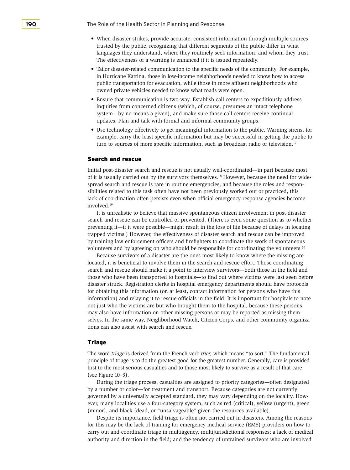**190 The Role of the Health Sector in Planning and Response** 

- • When disaster strikes, provide accurate, consistent information through multiple sources trusted by the public, recognizing that different segments of the public differ in what languages they understand, where they routinely seek information, and whom they trust. The effectiveness of a warning is enhanced if it is issued repeatedly.
- Tailor disaster-related communication to the specific needs of the community. For example, in Hurricane Katrina, those in low-income neighborhoods needed to know how to access public transportation for evacuation, while those in more affluent neighborhoods who owned private vehicles needed to know what roads were open.
- • Ensure that communication is two-way. Establish call centers to expeditiously address inquiries from concerned citizens (which, of course, presumes an intact telephone system—by no means a given), and make sure those call centers receive continual updates. Plan and talk with formal and informal community groups.
- Use technology effectively to get meaningful information to the public. Warning sirens, for example, carry the least specific information but may be successful in getting the public to turn to sources of more specific information, such as broadcast radio or television.17

#### Search and rescue

of it is usually carried out by the survivors themselves.<sup>18</sup> However, because the need for wide-Initial post-disaster search and rescue is not usually well-coordinated—in part because most spread search and rescue is rare in routine emergencies, and because the roles and responsibilities related to this task often have not been previously worked out or practiced, this lack of coordination often persists even when official emergency response agencies become involved.19

 trapped victims.) However, the effectiveness of disaster search and rescue can be improved It is unrealistic to believe that massive spontaneous citizen involvement in post-disaster search and rescue can be controlled or prevented. (There is even some question as to whether preventing it—if it were possible—might result in the loss of life because of delays in locating by training law enforcement officers and firefighters to coordinate the work of spontaneous volunteers and by agreeing on who should be responsible for coordinating the volunteers.<sup>20</sup>

 selves. In the same way, Neighborhood Watch, Citizen Corps, and other community organiza-Because survivors of a disaster are the ones most likely to know where the missing are located, it is beneficial to involve them in the search and rescue effort. Those coordinating search and rescue should make it a point to interview survivors—both those in the field and those who have been transported to hospitals—to find out where victims were last seen before disaster struck. Registration clerks in hospital emergency departments should have protocols for obtaining this information (or, at least, contact information for persons who have this information) and relaying it to rescue officials in the field. It is important for hospitals to note not just who the victims are but who brought them to the hospital, because these persons may also have information on other missing persons or may be reported as missing themtions can also assist with search and rescue.

#### Triage

 The word *triage* is derived from the French verb *trier,* which means "to sort." The fundamental principle of triage is to do the greatest good for the greatest number. Generally, care is provided first to the most serious casualties and to those most likely to survive as a result of that care (see Figure 10–3).

 governed by a universally accepted standard, they may vary depending on the locality. How- (minor), and black (dead, or "unsalvageable" given the resources available). During the triage process, casualties are assigned to priority categories—often designated by a number or color—for treatment and transport. Because categories are not currently ever, many localities use a four-category system, such as red (critical), yellow (urgent), green

 for this may be the lack of training for emergency medical service (EMS) providers on how to Despite its importance, field triage is often not carried out in disasters. Among the reasons carry out and coordinate triage in multiagency, multijurisdictional responses; a lack of medical authority and direction in the field; and the tendency of untrained survivors who are involved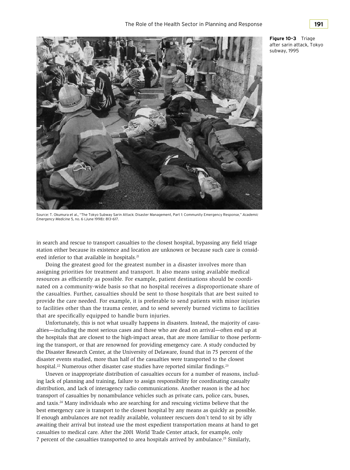

Source: T. Okumura et al., "The Tokyo Subway Sarin Attack: Disaster Management, Part 1: Community Emergency Response," *Academic Emergency Medicine* 5, no. 6 (June 1998): 813–617.

in search and rescue to transport casualties to the closest hospital, bypassing any field triage station either because its existence and location are unknown or because such care is considered inferior to that available in hospitals.<sup>21</sup>

Doing the greatest good for the greatest number in a disaster involves more than assigning priorities for treatment and transport. It also means using available medical resources as efficiently as possible. For example, patient destinations should be coordinated on a community-wide basis so that no hospital receives a disproportionate share of the casualties. Further, casualties should be sent to those hospitals that are best suited to provide the care needed. For example, it is preferable to send patients with minor injuries to facilities other than the trauma center, and to send severely burned victims to facilities that are specifically equipped to handle burn injuries.

hospital.<sup>22</sup> Numerous other disaster case studies have reported similar findings.<sup>23</sup> Unfortunately, this is not what usually happens in disasters. Instead, the majority of casualties—including the most serious cases and those who are dead on arrival—often end up at the hospitals that are closest to the high-impact areas, that are more familiar to those performing the transport, or that are renowned for providing emergency care. A study conducted by the Disaster Research Center, at the University of Delaware, found that in 75 percent of the disaster events studied, more than half of the casualties were transported to the closest

 casualties to medical care. After the 2001 World Trade Center attack, for example, only Uneven or inappropriate distribution of casualties occurs for a number of reasons, including lack of planning and training, failure to assign responsibility for coordinating casualty distribution, and lack of interagency radio communications. Another reason is the ad hoc transport of casualties by nonambulance vehicles such as private cars, police cars, buses, and taxis.24 Many individuals who are searching for and rescuing victims believe that the best emergency care is transport to the closest hospital by any means as quickly as possible. If enough ambulances are not readily available, volunteer rescuers don't tend to sit by idly awaiting their arrival but instead use the most expedient transportation means at hand to get 7 percent of the casualties transported to area hospitals arrived by ambulance.25 Similarly,

**Figure 10–3** Triage after sarin attack, Tokyo

subway, 1995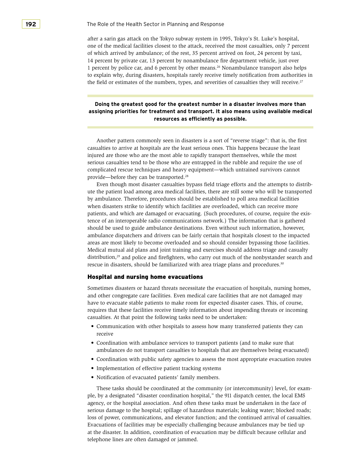1 percent by police car, and 6 percent by other means.26 Nonambulance transport also helps after a sarin gas attack on the Tokyo subway system in 1995, Tokyo's St. Luke's hospital, one of the medical facilities closest to the attack, received the most casualties, only 7 percent of which arrived by ambulance; of the rest, 35 percent arrived on foot, 24 percent by taxi, 14 percent by private car, 13 percent by nonambulance fire department vehicle, just over to explain why, during disasters, hospitals rarely receive timely notification from authorities in the field or estimates of the numbers, types, and severities of casualties they will receive.<sup>27</sup>

# **Doing the greatest good for the greatest number in a disaster involves more than assigning priorities for treatment and transport. It also means using available medical resources as efficiently as possible.**

 Another pattern commonly seen in disasters is a sort of "reverse triage": that is, the first casualties to arrive at hospitals are the least serious ones. This happens because the least injured are those who are the most able to rapidly transport themselves, while the most serious casualties tend to be those who are entrapped in the rubble and require the use of complicated rescue techniques and heavy equipment—which untrained survivors cannot provide—before they can be transported.28

 Even though most disaster casualties bypass field triage efforts and the attempts to distrib- should be used to guide ambulance destinations. Even without such information, however, ute the patient load among area medical facilities, there are still some who will be transported by ambulance. Therefore, procedures should be established to poll area medical facilities when disasters strike to identify which facilities are overloaded, which can receive more patients, and which are damaged or evacuating. (Such procedures, of course, require the existence of an interoperable radio communications network.) The information that is gathered ambulance dispatchers and drivers can be fairly certain that hospitals closest to the impacted areas are most likely to become overloaded and so should consider bypassing those facilities. Medical mutual aid plans and joint training and exercises should address triage and casualty distribution,<sup>29</sup> and police and firefighters, who carry out much of the nonbystander search and rescue in disasters, should be familiarized with area triage plans and procedures.30

#### Hospital and nursing home evacuations

 and other congregate care facilities. Even medical care facilities that are not damaged may Sometimes disasters or hazard threats necessitate the evacuation of hospitals, nursing homes, have to evacuate stable patients to make room for expected disaster cases. This, of course, requires that these facilities receive timely information about impending threats or incoming casualties. At that point the following tasks need to be undertaken:

- • Communication with other hospitals to assess how many transferred patients they can receive
- • Coordination with ambulance services to transport patients (and to make sure that ambulances do not transport casualties to hospitals that are themselves being evacuated)
- • Coordination with public safety agencies to assess the most appropriate evacuation routes
- Implementation of effective patient tracking systems
- • Notification of evacuated patients' family members.

 ple, by a designated "disaster coordination hospital," the 911 dispatch center, the local EMS Evacuations of facilities may be especially challenging because ambulances may be tied up These tasks should be coordinated at the community (or intercommunity) level, for examagency, or the hospital association. And often these tasks must be undertaken in the face of serious damage to the hospital; spillage of hazardous materials; leaking water; blocked roads; loss of power, communications, and elevator function; and the continued arrival of casualties. at the disaster. In addition, coordination of evacuation may be difficult because cellular and telephone lines are often damaged or jammed.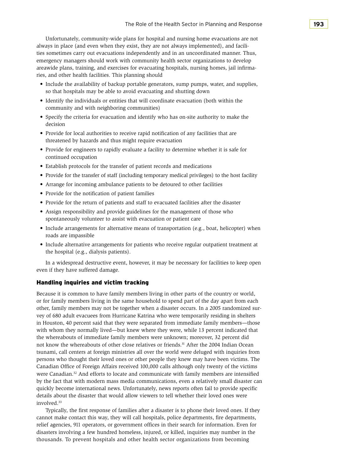Unfortunately, community-wide plans for hospital and nursing home evacuations are not always in place (and even when they exist, they are not always implemented), and facilities sometimes carry out evacuations independently and in an uncoordinated manner. Thus, emergency managers should work with community health sector organizations to develop areawide plans, training, and exercises for evacuating hospitals, nursing homes, jail infirmaries, and other health facilities. This planning should

- Include the availability of backup portable generators, sump pumps, water, and supplies, so that hospitals may be able to avoid evacuating and shutting down
- • Identify the individuals or entities that will coordinate evacuation (both within the community and with neighboring communities)
- • Specify the criteria for evacuation and identify who has on-site authority to make the decision
- Provide for local authorities to receive rapid notification of any facilities that are threatened by hazards and thus might require evacuation
- Provide for engineers to rapidly evaluate a facility to determine whether it is safe for continued occupation
- Establish protocols for the transfer of patient records and medications
- Provide for the transfer of staff (including temporary medical privileges) to the host facility
- Arrange for incoming ambulance patients to be detoured to other facilities
- Provide for the notification of patient families
- • Provide for the return of patients and staff to evacuated facilities after the disaster
- Assign responsibility and provide guidelines for the management of those who spontaneously volunteer to assist with evacuation or patient care
- Include arrangements for alternative means of transportation (e.g., boat, helicopter) when roads are impassible
- • Include alternative arrangements for patients who receive regular outpatient treatment at the hospital (e.g., dialysis patients).

In a widespread destructive event, however, it may be necessary for facilities to keep open even if they have suffered damage.

# Handling inquiries and victim tracking

 vey of 680 adult evacuees from Hurricane Katrina who were temporarily residing in shelters in Houston, 40 percent said that they were separated from immediate family members—those Because it is common to have family members living in other parts of the country or world, or for family members living in the same household to spend part of the day apart from each other, family members may not be together when a disaster occurs. In a 2005 randomized surwith whom they normally lived—but knew where they were, while 13 percent indicated that the whereabouts of immediate family members were unknown; moreover, 32 percent did not know the whereabouts of other close relatives or friends.<sup>31</sup> After the 2004 Indian Ocean tsunami, call centers at foreign ministries all over the world were deluged with inquiries from persons who thought their loved ones or other people they knew may have been victims. The Canadian Office of Foreign Affairs received 100,000 calls although only twenty of the victims were Canadian.32 And efforts to locate and communicate with family members are intensified by the fact that with modern mass media communications, even a relatively small disaster can quickly become international news. Unfortunately, news reports often fail to provide specific details about the disaster that would allow viewers to tell whether their loved ones were involved.33

 relief agencies, 911 operators, or government offices in their search for information. Even for Typically, the first response of families after a disaster is to phone their loved ones. If they cannot make contact this way, they will call hospitals, police departments, fire departments, disasters involving a few hundred homeless, injured, or killed, inquiries may number in the thousands. To prevent hospitals and other health sector organizations from becoming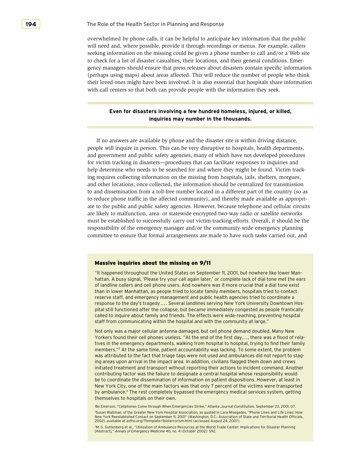seeking information on the missing could be given a phone number to call and/or a Web site to check for a list of disaster casualties, their locations, and their general conditions. Emeroverwhelmed by phone calls, it can be helpful to anticipate key information that the public will need and, where possible, provide it through recordings or menus. For example, callers gency managers should ensure that press releases about disasters contain specific information (perhaps using maps) about areas affected. This will reduce the number of people who think their loved ones might have been involved. It is also essential that hospitals share information with call centers so that both can provide people with the information they seek.

# **Even for disasters involving a few hundred homeless, injured, or killed, inquiries may number in the thousands.**

 help determine who needs to be searched for and where they might be found. Victim track- ate to the public and public safety agencies. However, because telephone and cellular circuits If no answers are available by phone and the disaster site is within driving distance, people will inquire in person. This can be very disruptive to hospitals, health departments, and government and public safety agencies, many of which have not developed procedures for victim tracking in disasters—procedures that can facilitate responses to inquiries and ing requires collecting information on the missing from hospitals, jails, shelters, morgues, and other locations; once collected, the information should be centralized for transmission to and dissemination from a toll-free number located in a different part of the country (so as to reduce phone traffic in the affected community), and thereby made available as appropriare likely to malfunction, area- or statewide encrypted two-way radio or satellite networks must be established to successfully carry out victim-tracking efforts. Overall, it should be the responsibility of the emergency manager and/or the community-wide emergency planning committee to ensure that formal arrangements are made to have such tasks carried out, and

#### Massive inquiries about the missing on 9/11

 response to the day's tragedy.... Several landlines serving New York University Downtown Hos-"It happened throughout the United States on September 11, 2001, but nowhere like lower Manhattan. A busy signal, 'Please try your call again later,' or complete lack of dial tone met the ears of landline callers and cell phone users. And nowhere was it more crucial that a dial tone exist than in lower Manhattan, as people tried to locate family members, hospitals tried to contact reserve staff, and emergency management and public health agencies tried to coordinate a pital still functioned after the collapse, but became immediately congested as people frantically called to inquire about family and friends. The effects were wide-reaching, preventing hospital staff from communicating within the hospital and with the community at large."

 Yorkers found their cell phones useless. "At the end of the first day..., there was a flood of rela-Not only was a major cellular antenna damaged, but cell phone demand doubled. Many New tives in the emergency departments, walking from hospital to hospital, trying to find their family members."<sup>2</sup> At the same time, patient accountability was lacking. To some extent, the problem was attributed to the fact that triage tags were not used and ambulances did not report to staging areas upon arrival in the impact area. In addition, civilians flagged them down and crews initiated treatment and transport without reporting their actions to incident command. Another contributing factor was the failure to designate a central hospital whose responsibility would be to coordinate the dissemination of information on patient dispositions. However, at least in New York City, one of the main factors was that only 7 percent of the victims were transported by ambulance.<sup>3</sup> The rest completely bypassed the emergency medical services system, getting themselves to hospitals on their own.

1 Bo Emerson, "Cellphones Come through When Emergencies Strike," *Atlanta Journal-Constitution,* September 23, 2001, G7.

2 Susan Waltman, of the Greater New York Hospital Association, as quoted in Lara Misegades, "Phone Lines and Life Lines: How New York Reestablished Contact on September 11, 2001" (Washington, D.C.: Association of State and Territorial Health Officials, 2002), available at astho.org/?template=1bioterrorism.html (accessed August 24, 2007).

3 M. G. Guttenberg et al., "Utilization of Ambulance Resources at the World Trade Center: Implications for Disaster Planning [Abstract]," *Annals of Emergency Medicine* 40, no. 4 (October 2002): S92.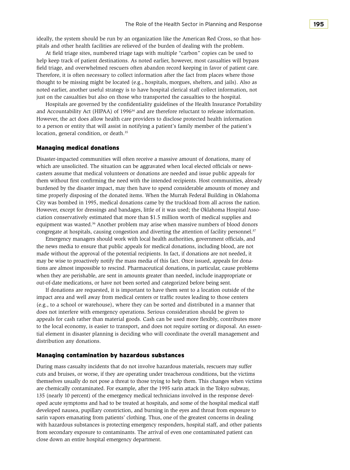ideally, the system should be run by an organization like the American Red Cross, so that hospitals and other health facilities are relieved of the burden of dealing with the problem.

 At field triage sites, numbered triage tags with multiple "carbon" copies can be used to help keep track of patient destinations. As noted earlier, however, most casualties will bypass field triage, and overwhelmed rescuers often abandon record keeping in favor of patient care. Therefore, it is often necessary to collect information after the fact from places where those thought to be missing might be located (e.g., hospitals, morgues, shelters, and jails). Also as noted earlier, another useful strategy is to have hospital clerical staff collect information, not just on the casualties but also on those who transported the casualties to the hospital.

 Hospitals are governed by the confidentiality guidelines of the Health Insurance Portability and Accountability Act (HIPAA) of  $1996<sup>34</sup>$  and are therefore reluctant to release information. However, the act does allow health care providers to disclose protected health information to a person or entity that will assist in notifying a patient's family member of the patient's location, general condition, or death.<sup>35</sup>

#### Managing medical donations

 them without first confirming the need with the intended recipients. Host communities, already time properly disposing of the donated items. When the Murrah Federal Building in Oklahoma However, except for dressings and bandages, little of it was used; the Oklahoma Hospital Asso-Disaster-impacted communities will often receive a massive amount of donations, many of which are unsolicited. The situation can be aggravated when local elected officials or newscasters assume that medical volunteers or donations are needed and issue public appeals for burdened by the disaster impact, may then have to spend considerable amounts of money and City was bombed in 1995, medical donations came by the truckload from all across the nation. ciation conservatively estimated that more than \$1.5 million worth of medical supplies and equipment was wasted.<sup>36</sup> Another problem may arise when massive numbers of blood donors congregate at hospitals, causing congestion and diverting the attention of facility personnel.<sup>37</sup>

 Emergency managers should work with local health authorities, government officials, and the news media to ensure that public appeals for medical donations, including blood, are not made without the approval of the potential recipients. In fact, if donations are not needed, it may be wise to proactively notify the mass media of this fact. Once issued, appeals for donations are almost impossible to rescind. Pharmaceutical donations, in particular, cause problems when they are perishable, are sent in amounts greater than needed, include inappropriate or out-of-date medications, or have not been sorted and categorized before being sent.

If donations are requested, it is important to have them sent to a location outside of the impact area and well away from medical centers or traffic routes leading to those centers (e.g., to a school or warehouse), where they can be sorted and distributed in a manner that does not interfere with emergency operations. Serious consideration should be given to appeals for cash rather than material goods. Cash can be used more flexibly, contributes more to the local economy, is easier to transport, and does not require sorting or disposal. An essential element in disaster planning is deciding who will coordinate the overall management and distribution any donations.

#### Managing contamination by hazardous substances

During mass casualty incidents that do not involve hazardous materials, rescuers may suffer cuts and bruises, or worse, if they are operating under treacherous conditions, but the victims themselves usually do not pose a threat to those trying to help them. This changes when victims are chemically contaminated. For example, after the 1995 sarin attack in the Tokyo subway, 135 (nearly 10 percent) of the emergency medical technicians involved in the response developed acute symptoms and had to be treated at hospitals, and some of the hospital medical staff developed nausea, pupillary constriction, and burning in the eyes and throat from exposure to sarin vapors emanating from patients' clothing. Thus, one of the greatest concerns in dealing with hazardous substances is protecting emergency responders, hospital staff, and other patients from secondary exposure to contaminants. The arrival of even one contaminated patient can close down an entire hospital emergency department.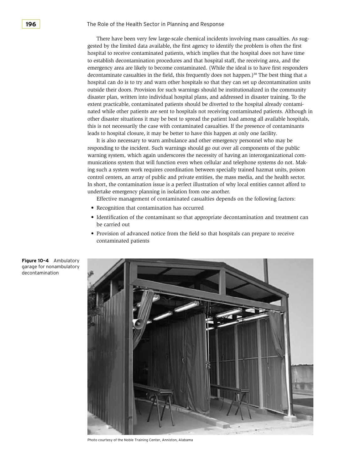emergency area are likely to become contaminated. (While the ideal is to have first responders There have been very few large-scale chemical incidents involving mass casualties. As suggested by the limited data available, the first agency to identify the problem is often the first hospital to receive contaminated patients, which implies that the hospital does not have time to establish decontamination procedures and that hospital staff, the receiving area, and the decontaminate casualties in the field, this frequently does not happen.)<sup>38</sup> The best thing that a hospital can do is to try and warn other hospitals so that they can set up decontamination units outside their doors. Provision for such warnings should be institutionalized in the community disaster plan, written into individual hospital plans, and addressed in disaster training. To the extent practicable, contaminated patients should be diverted to the hospital already contaminated while other patients are sent to hospitals not receiving contaminated patients. Although in other disaster situations it may be best to spread the patient load among all available hospitals, this is not necessarily the case with contaminated casualties. If the presence of contaminants leads to hospital closure, it may be better to have this happen at only one facility.

It is also necessary to warn ambulance and other emergency personnel who may be responding to the incident. Such warnings should go out over all components of the public warning system, which again underscores the necessity of having an interorganizational communications system that will function even when cellular and telephone systems do not. Making such a system work requires coordination between specially trained hazmat units, poison control centers, an array of public and private entities, the mass media, and the health sector. In short, the contamination issue is a perfect illustration of why local entities cannot afford to undertake emergency planning in isolation from one another.

 Effective management of contaminated casualties depends on the following factors:

- • Recognition that contamination has occurred
- Identification of the contaminant so that appropriate decontamination and treatment can be carried out
- Provision of advanced notice from the field so that hospitals can prepare to receive contaminated patients



Photo courtesy of the Noble Training Center, Anniston, Alabama

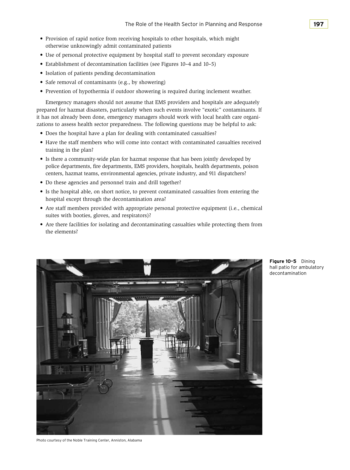- • Provision of rapid notice from receiving hospitals to other hospitals, which might otherwise unknowingly admit contaminated patients
- Use of personal protective equipment by hospital staff to prevent secondary exposure
- Establishment of decontamination facilities (see Figures 10–4 and 10–5)
- Isolation of patients pending decontamination
- Safe removal of contaminants (e.g., by showering)
- • Prevention of hypothermia if outdoor showering is required during inclement weather.

 Emergency managers should not assume that EMS providers and hospitals are adequately prepared for hazmat disasters, particularly when such events involve "exotic" contaminants. If it has not already been done, emergency managers should work with local health care organizations to assess health sector preparedness. The following questions may be helpful to ask:

- Does the hospital have a plan for dealing with contaminated casualties?
- • Have the staff members who will come into contact with contaminated casualties received training in the plan?
- Is there a community-wide plan for hazmat response that has been jointly developed by police departments, fire departments, EMS providers, hospitals, health departments, poison centers, hazmat teams, environmental agencies, private industry, and 911 dispatchers?
- Do these agencies and personnel train and drill together?
- Is the hospital able, on short notice, to prevent contaminated casualties from entering the hospital except through the decontamination area?
- Are staff members provided with appropriate personal protective equipment (i.e., chemical suites with booties, gloves, and respirators)?
- Are there facilities for isolating and decontaminating casualties while protecting them from the elements?



**Figure 10–5** Dining hall patio for ambulatory decontamination

Photo courtesy of the Noble Training Center, Anniston, Alabama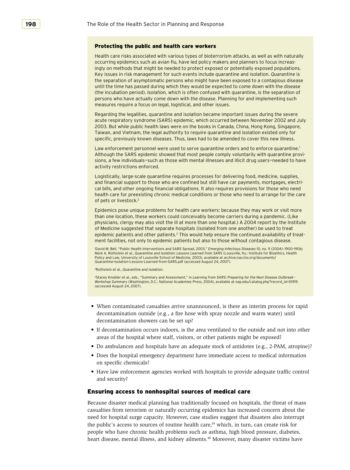#### Protecting the public and health care workers

Health care risks associated with various types of bioterrorism attacks, as well as with naturally occurring epidemics such as avian flu, have led policy makers and planners to focus increasingly on methods that might be needed to protect exposed or potentially exposed populations. Key issues in risk management for such events include quarantine and isolation. *Quarantine* is the separation of asymptomatic persons who might have been exposed to a contagious disease until the time has passed during which they would be expected to come down with the disease (the incubation period). *Isolation,* which is often confused with quarantine, is the separation of persons who have actually come down with the disease. Planning for and implementing such measures require a focus on legal, logistical, and other issues.

Regarding the legalities, quarantine and isolation became important issues during the severe acute respiratory syndrome (SARS) epidemic, which occurred between November 2002 and July 2003. But while public health laws were on the books in Canada, China, Hong Kong, Singapore, Taiwan, and Vietnam, the legal authority to require quarantine and isolation existed only for *specific,* previously known diseases. Thus, laws had to be amended to cover this new illness.

Law enforcement personnel were used to serve quarantine orders and to enforce quarantine.<sup>1</sup> Although the SARS epidemic showed that most people comply voluntarily with quarantine provisions, a few individuals-such as those with mental illnesses and illicit drug users-needed to have activity restrictions enforced.

Logistically, large-scale quarantine requires processes for delivering food, medicine, supplies, and financial support to those who are confined but still have car payments, mortgages, electrical bills, and other ongoing financial obligations. It also requires provisions for those who need health care for preexisting chronic medical conditions or those who need to arrange for the care of pets or livestock.<sup>2</sup>

Epidemics pose unique problems for health care workers: because they may work or visit more than one location, these workers could conceivably become carriers during a pandemic. (Like physicians, clergy may also visit the ill at more than one hospital.) A 2004 report by the Institute of Medicine suggested that separate hospitals (isolated from one another) be used to treat epidemic patients and other patients.<sup>3</sup> This would help ensure the continued availability of treatment facilities, not only to epidemic patients but also to those without contagious disease.

1 David M. Bell, "Public Health Interventions and SARS Spread, 2003," *Emerging Infectious Diseases* 10, no. 11 (2004): 1900–1906; Mark A. Rothstein et al., Q*uarantine and Isolation: Lessons Learned from SARS (*Louisville, Ky.: Institute for Bioethics, Health<br>Policy and Law, University of Louisville School of Medicine, 2003), available at archive.nac Quarantine-Isolation-Lessons-Learned-from-SARS.pdf (accessed August 24, 2007).

2 Rothstein et al., *Quarantine and Isolation*.

3 Stacey Knobler et al., eds., "Summary and Assessment," in *Learning from SARS: Preparing for the Next Disease Outbreak— Workshop Summary* (Washington, D.C.: National Academies Press, 2004), available at nap.edu/catalog.php?record\_id=10915 (accessed August 24, 2007).

- • When contaminated casualties arrive unannounced, is there an interim process for rapid decontamination showers can be set up? decontamination outside (e.g., a fire hose with spray nozzle and warm water) until
- If decontamination occurs indoors, is the area ventilated to the outside and not into other areas of the hospital where staff, visitors, or other patients might be exposed?
- Do ambulances and hospitals have an adequate stock of antidotes (e.g., 2-PAM, atropine)?
- • Does the hospital emergency department have immediate access to medical information on specific chemicals?
- • Have law enforcement agencies worked with hospitals to provide adequate traffic control and security?

#### Ensuring access to nonhospital sources of medical care

 need for hospital surge capacity. However, case studies suggest that disasters also interrupt Because disaster medical planning has traditionally focused on hospitals, the threat of mass casualties from terrorism or naturally occurring epidemics has increased concern about the the public's access to sources of routine health care, $39$  which, in turn, can create risk for people who have chronic health problems such as asthma, high blood pressure, diabetes, heart disease, mental illness, and kidney ailments.40 Moreover, many disaster victims have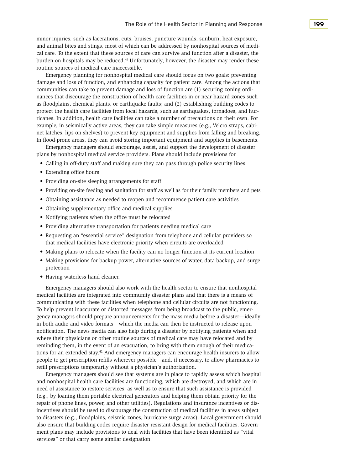minor injuries, such as lacerations, cuts, bruises, puncture wounds, sunburn, heat exposure, and animal bites and stings, most of which can be addressed by nonhospital sources of medical care. To the extent that these sources of care can survive and function after a disaster, the burden on hospitals may be reduced.<sup>41</sup> Unfortunately, however, the disaster may render these routine sources of medical care inaccessible.

 Emergency planning for nonhospital medical care should focus on two goals: preventing example, in seismically active areas, they can take simple measures (e.g., Velcro straps, cabidamage and loss of function, and enhancing capacity for patient care. Among the actions that communities can take to prevent damage and loss of function are (1) securing zoning ordinances that discourage the construction of health care facilities in or near hazard zones such as floodplains, chemical plants, or earthquake faults; and (2) establishing building codes to protect the health care facilities from local hazards, such as earthquakes, tornadoes, and hurricanes. In addition, health care facilities can take a number of precautions on their own. For net latches, lips on shelves) to prevent key equipment and supplies from falling and breaking. In flood-prone areas, they can avoid storing important equipment and supplies in basements.

 Emergency managers should encourage, assist, and support the development of disaster plans by nonhospital medical service providers. Plans should include provisions for

- • Calling in off-duty staff and making sure they can pass through police security lines
- Extending office hours
- Providing on-site sleeping arrangements for staff
- • Providing on-site feeding and sanitation for staff as well as for their family members and pets
- • Obtaining assistance as needed to reopen and recommence patient care activities
- Obtaining supplementary office and medical supplies
- • Notifying patients when the office must be relocated
- Providing alternative transportation for patients needing medical care
- • Requesting an "essential service" designation from telephone and cellular providers so that medical facilities have electronic priority when circuits are overloaded
- Making plans to relocate when the facility can no longer function at its current location
- Making provisions for backup power, alternative sources of water, data backup, and surge protection
- Having waterless hand cleaner.

 Emergency managers should also work with the health sector to ensure that nonhospital medical facilities are integrated into community disaster plans and that there is a means of communicating with these facilities when telephone and cellular circuits are not functioning. To help prevent inaccurate or distorted messages from being broadcast to the public, emergency managers should prepare announcements for the mass media before a disaster—ideally in both audio and video formats—which the media can then be instructed to release upon notification. The news media can also help during a disaster by notifying patients when and where their physicians or other routine sources of medical care may have relocated and by reminding them, in the event of an evacuation, to bring with them enough of their medications for an extended stay.<sup>42</sup> And emergency managers can encourage health insurers to allow people to get prescription refills wherever possible—and, if necessary, to allow pharmacies to refill prescriptions temporarily without a physician's authorization.

 Emergency managers should see that systems are in place to rapidly assess which hospital ment plans may include provisions to deal with facilities that have been identified as "vital services" or that carry some similar designation.and nonhospital health care facilities are functioning, which are destroyed, and which are in need of assistance to restore services, as well as to ensure that such assistance is provided (e.g., by loaning them portable electrical generators and helping them obtain priority for the repair of phone lines, power, and other utilities). Regulations and insurance incentives or disincentives should be used to discourage the construction of medical facilities in areas subject to disasters (e.g., floodplains, seismic zones, hurricane surge areas). Local government should also ensure that building codes require disaster-resistant design for medical facilities. Govern-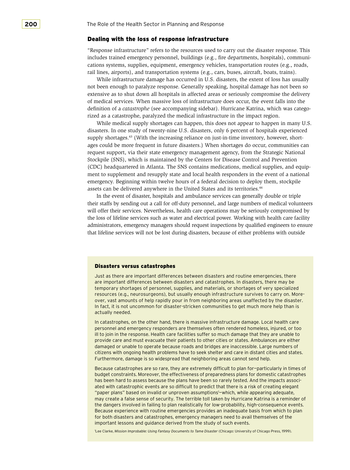## Dealing with the loss of response infrastructure

 "Response infrastructure" refers to the resources used to carry out the disaster response. This includes trained emergency personnel, buildings (e.g., fire departments, hospitals), communications systems, supplies, equipment, emergency vehicles, transportation routes (e.g., roads, rail lines, airports), and transportation systems (e.g., cars, buses, aircraft, boats, trains).

 While infrastructure damage has occurred in U.S. disasters, the extent of loss has usually of medical services. When massive loss of infrastructure does occur, the event falls into the definition of a *catastrophe* (see accompanying sidebar). Hurricane Katrina, which was categonot been enough to paralyze response. Generally speaking, hospital damage has not been so extensive as to shut down all hospitals in affected areas or seriously compromise the delivery rized as a catastrophe, paralyzed the medical infrastructure in the impact region.

 While medical supply shortages can happen, this does not appear to happen in many U.S. supply shortages.<sup>43</sup> (With the increasing reliance on just-in-time inventory, however, short- ages could be more frequent in future disasters.) When shortages do occur, communities can request support, via their state emergency management agency, from the Strategic National Stockpile (SNS), which is maintained by the Centers for Disease Control and Prevention (CDC) headquartered in Atlanta. The SNS contains medications, medical supplies, and equipdisasters. In one study of twenty-nine U.S. disasters, only 6 percent of hospitals experienced ment to supplement and resupply state and local health responders in the event of a national emergency. Beginning within twelve hours of a federal decision to deploy them, stockpile assets can be delivered anywhere in the United States and its territories.<sup>44</sup>

 will offer their services. Nevertheless, health care operations may be seriously compromised by the loss of lifeline services such as water and electrical power. Working with health care facility In the event of disaster, hospitals and ambulance services can generally double or triple their staffs by sending out a call for off-duty personnel, and large numbers of medical volunteers administrators, emergency managers should request inspections by qualified engineers to ensure that lifeline services will not be lost during disasters, because of either problems with outside

#### Disasters versus catastrophes

Just as there are important differences between disasters and routine emergencies, there are important differences between disasters and catastrophes. In disasters, there may be temporary shortages of personnel, supplies, and materials, or shortages of very specialized resources (e.g., neurosurgeons), but usually enough infrastructure survives to carry on. Moreover, vast amounts of help rapidly pour in from neighboring areas unaffected by the disaster. In fact, it is not uncommon for disaster-stricken communities to get much more help than is actually needed.

In catastrophes, on the other hand, there is massive infrastructure damage. Local health care personnel and emergency responders are themselves often rendered homeless, injured, or too ill to join in the response. Health care facilities suffer so much damage that they are unable to provide care and must evacuate their patients to other cities or states. Ambulances are either damaged or unable to operate because roads and bridges are inaccessible. Large numbers of citizens with ongoing health problems have to seek shelter and care in distant cities and states. Furthermore, damage is so widespread that neighboring areas cannot send help.

Because catastrophes are so rare, they are extremely difficult to plan for-particularly in times of budget constraints. Moreover, the effectiveness of preparedness plans for domestic catastrophes has been hard to assess because the plans have been so rarely tested. And the impacts associated with catastrophic events are so difficult to predict that there is a risk of creating elegant "paper plans" based on invalid or unproven assumptions<sup>1</sup>-which, while appearing adequate, may create a false sense of security. The terrible toll taken by Hurricane Katrina is a reminder of the dangers involved in failing to plan realistically for low-probability, high-consequence events. Because experience with routine emergencies provides an inadequate basis from which to plan for both disasters and catastrophes, emergency managers need to avail themselves of the important lessons and guidance derived from the study of such events.

1 Lee Clarke, *Mission Improbable: Using Fantasy Documents to Tame Disaster* (Chicago: University of Chicago Press, 1999).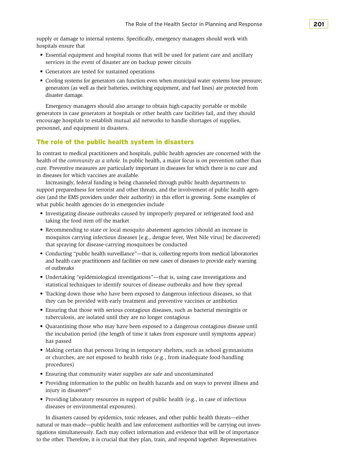supply or damage to internal systems. Specifically, emergency managers should work with hospitals ensure that

- • Essential equipment and hospital rooms that will be used for patient care and ancillary services in the event of disaster are on backup power circuits
- • Generators are tested for sustained operations
- Cooling systems for generators can function even when municipal water systems lose pressure; generators (as well as their batteries, switching equipment, and fuel lines) are protected from disaster damage.

 Emergency managers should also arrange to obtain high-capacity portable or mobile generators in case generators at hospitals or other health care facilities fail, and they should encourage hospitals to establish mutual aid networks to handle shortages of supplies, personnel, and equipment in disasters.

# The role of the public health system in disasters

In contrast to medical practitioners and hospitals, public health agencies are concerned with the health of the *community as a whole.* In public health, a major focus is on prevention rather than cure. Preventive measures are particularly important in diseases for which there is no cure and in diseases for which vaccines are available.

 cies (and the EMS providers under their authority) in this effort is growing. Some examples of Increasingly, federal funding is being channeled through public health departments to support preparedness for terrorist and other threats, and the involvement of public health agenwhat public health agencies do in emergencies include

- • Investigating disease outbreaks caused by improperly prepared or refrigerated food and taking the food item off the market
- Recommending to state or local mosquito abatement agencies (should an increase in mosquitos carrying infectious diseases [e.g., dengue fever, West Nile virus] be discovered) that spraying for disease-carrying mosquitoes be conducted
- • Conducting "public health surveillance"—that is, collecting reports from medical laboratories and health care practitioners and facilities on new cases of diseases to provide early warning of outbreaks
- • Undertaking "epidemiological investigations"—that is, using case investigations and statistical techniques to identify sources of disease outbreaks and how they spread
- • Tracking down those who have been exposed to dangerous infectious diseases, so that they can be provided with early treatment and preventive vaccines or antibiotics
- • Ensuring that those with serious contagious diseases, such as bacterial meningitis or tuberculosis, are isolated until they are no longer contagious
- • Quarantining those who may have been exposed to a dangerous contagious disease until the incubation period (the length of time it takes from exposure until symptoms appear) has passed
- • Making certain that persons living in temporary shelters, such as school gymnasiums or churches, are not exposed to health risks (e.g., from inadequate food-handling procedures)
- Ensuring that community water supplies are safe and uncontaminated
- • Providing information to the public on health hazards and on ways to prevent illness and injury in disasters<sup>45</sup>
- Providing laboratory resources in support of public health (e.g., in case of infectious diseases or environmental exposures).

 tigations simultaneously. Each may collect information and evidence that will be of importance In disasters caused by epidemics, toxic releases, and other public health threats—either natural or man-made—public health and law enforcement authorities will be carrying out investo the other. Therefore, it is crucial that they plan, train, and respond together. Representatives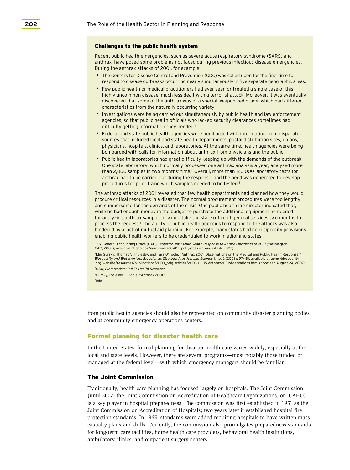#### Challenges to the public health system

Recent public health emergencies, such as severe acute respiratory syndrome (SARS) and anthrax, have posed some problems not faced during previous infectious disease emergencies. During the anthrax attacks of 2001, for example,

- The Centers for Disease Control and Prevention (CDC) was called upon for the first time to respond to disease outbreaks occurring nearly simultaneously in five separate geographic areas.
- • �Few public health or medical practitioners had ever seen or treated a single case of this highly uncommon disease, much less dealt with a terrorist attack. Moreover, it was eventually discovered that some of the anthrax was of a special weaponized grade, which had different characteristics from the naturally occurring variety.
- Investigations were being carried out simultaneously by public health and law enforcement agencies, so that public health officials who lacked security clearances sometimes had difficulty getting information they needed.<sup>1</sup>
- • �Federal and state public health agencies were bombarded with information from disparate sources that included local and state health departments, postal distribution sites, unions, physicians, hospitals, clinics, and laboratories. At the same time, health agencies were being bombarded with calls for information about anthrax from physicians and the public.
- Public health laboratories had great difficulty keeping up with the demands of the outbreak. One state laboratory, which normally processed one anthrax analysis a year, analyzed more than 2,000 samples in two months' time.<sup>2</sup> Overall, more than 120,000 laboratory tests for anthrax had to be carried out during the response, and the need was generated to develop procedures for prioritizing which samples needed to be tested.3

The anthrax attacks of 2001 revealed that few health departments had planned how they would procure critical resources in a disaster. The normal procurement procedures were too lengthy and cumbersome for the demands of the crisis. One public health lab director indicated that, while he had enough money in the budget to purchase the additional equipment he needed for analyzing anthrax samples, it would take the state office of general services two months to process the request.4 The ability of public health agencies to respond to the attacks was also hindered by a lack of mutual aid planning. For example, many states had no reciprocity provisions enabling public health workers to be credentialed to work in adjoining states.5

1 U.S. General Accounting Office (GAO), *Bioterrorism: Public Health Response to Anthrax Incidents of 2001* (Washington, D.C.: GAO, 2003), available at gao.gov/new.items/d04152.pdf (accessed August 24, 2007).

2 Elin Gursky, Thomas V. Inglesby, and Tara O'Toole, "Anthrax 2001: Observations on the Medical and Public Health Response," *Biosecurity and Bioterrorism: Biodefense, Strategy, Practice, and Science* 1, no. 2 (2003): 97–110, available at upmc-biosecurity .org/website/resources/publications/2003\_orig-articles/2003-06-15-anthrax2001observations.html (accessed August 24, 2007).

- 3 GAO, *Bioterrorism: Public Health Response*.
- 4Gursky, Inglesby, O'Toole, "Anthrax 2001." 5Ibid.

from public health agencies should also be represented on community disaster planning bodies and at community emergency operations centers.

# Formal planning for disaster health care

 local and state levels. However, there are several programs—most notably those funded or In the United States, formal planning for disaster health care varies widely, especially at the managed at the federal level—with which emergency managers should be familiar.

#### The Joint Commission

 (until 2007, the Joint Commission on Accreditation of Healthcare Organizations, or JCAHO) Joint Commission on Accreditation of Hospitals; two years later it established hospital fire Traditionally, health care planning has focused largely on hospitals. The Joint Commission is a key player in hospital preparedness. The commission was first established in 1951 as the protection standards. In 1965, standards were added requiring hospitals to have written mass casualty plans and drills. Currently, the commission also promulgates preparedness standards for long-term care facilities, home health care providers, behavioral health institutions, ambulatory clinics, and outpatient surgery centers.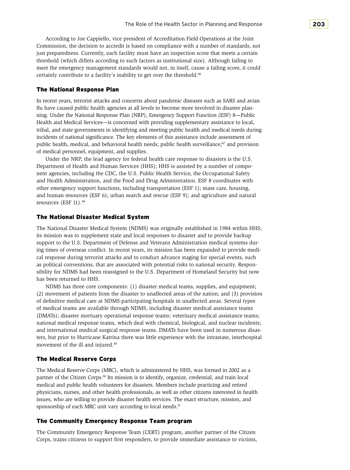According to Joe Cappiello, vice president of Accreditation Field Operations at the Joint Commission, the decision to accredit is based on compliance with a number of standards, not just preparedness. Currently, each facility must have an inspection score that meets a certain threshold (which differs according to such factors as institutional size). Although failing to meet the emergency management standards would not, in itself, cause a failing score, it could certainly contribute to a facility's inability to get over the threshold.46

#### The National Response Plan

 ning. Under the National Response Plan (NRP), Emergency Support Function (ESF) 8—Public Health and Medical Services—is concerned with providing supplementary assistance to local, In recent years, terrorist attacks and concerns about pandemic diseases such as SARS and avian flu have caused public health agencies at all levels to become more involved in disaster plantribal, and state governments in identifying and meeting public health and medical needs during incidents of national significance. The key elements of this assistance include assessment of public health, medical, and behavioral health needs; public health surveillance;<sup>47</sup> and provision of medical personnel, equipment, and supplies.

 Under the NRP, the lead agency for federal health care response to disasters is the U.S. Department of Health and Human Services (HHS); HHS is assisted by a number of compo- nent agencies, including the CDC, the U.S. Public Health Service, the Occupational Safety and Health Administration, and the Food and Drug Administration. ESF 8 coordinates with other emergency support functions, including transportation (ESF 1); mass care, housing, and human resources (ESF 6); urban search and rescue (ESF 9); and agriculture and natural resources (ESF 11).<sup>48</sup>

#### The National Disaster Medical System

 The National Disaster Medical System (NDMS) was originally established in 1984 within HHS; support to the U.S. Department of Defense and Veterans Administration medical systems dur- sibility for NDMS had been reassigned to the U.S. Department of Homeland Security but now has been returned to HHS. its mission was to supplement state and local responses to disaster and to provide backup ing times of overseas conflict. In recent years, its mission has been expanded to provide medical response during terrorist attacks and to conduct advance staging for special events, such as political conventions, that are associated with potential risks to national security. Respon-

 NDMS has three core components: (1) disaster medical teams, supplies, and equipment; of definitive medical care at NDMS-participating hospitals in unaffected areas. Several types of medical teams are available through NDMS, including disaster medical assistance teams ters, but prior to Hurricane Katrina there was little experience with the intrastate, interhospital (2) movement of patients from the disaster to unaffected areas of the nation; and (3) provision (DMATs); disaster mortuary operational response teams; veterinary medical assistance teams; national medical response teams, which deal with chemical, biological, and nuclear incidents; and international medical surgical response teams. DMATs have been used in numerous disasmovement of the ill and injured.<sup>49</sup>

#### The Medical Reserve Corps

 The Medical Reserve Corps (MRC), which is administered by HHS, was formed in 2002 as a partner of the Citizen Corps.50 Its mission is to identify, organize, credential, and train local medical and public health volunteers for disasters. Members include practicing and retired physicians, nurses, and other health professionals, as well as other citizens interested in health issues, who are willing to provide disaster health services. The exact structure, mission, and sponsorship of each MRC unit vary according to local needs.<sup>51</sup>

#### The Community Emergency Response Team program

 The Community Emergency Response Team (CERT) program, another partner of the Citizen Corps, trains citizens to support first responders, to provide immediate assistance to victims,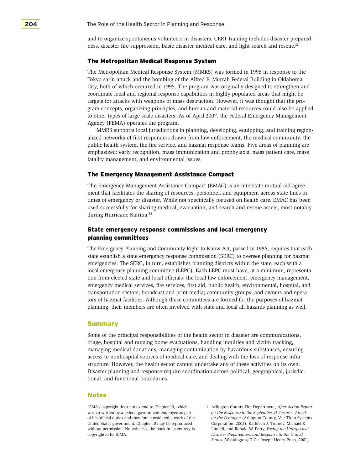and to organize spontaneous volunteers in disasters. CERT training includes disaster preparedness, disaster fire suppression, basic disaster medical care, and light search and rescue.<sup>52</sup>

#### The Metropolitan Medical Response System

 targets for attacks with weapons of mass destruction. However, it was thought that the pro- to other types of large-scale disasters. As of April 2007, the Federal Emergency Management Agency (FEMA) operates the program. The Metropolitan Medical Response System (MMRS) was formed in 1996 in response to the Tokyo sarin attack and the bombing of the Alfred P. Murrah Federal Building in Oklahoma City, both of which occurred in 1995. The program was originally designed to strengthen and coordinate local and regional response capabilities in highly populated areas that might be gram concepts, organizing principles, and human and material resources could also be applied

MMRS supports local jurisdictions in planning, developing, equipping, and training regionalized networks of first responders drawn from law enforcement, the medical community, the public health system, the fire service, and hazmat response teams. Five areas of planning are emphasized: early recognition, mass immunization and prophylaxis, mass patient care, mass fatality management, and environmental issues.

#### The Emergency Management Assistance Compact

 The Emergency Management Assistance Compact (EMAC) is an interstate mutual aid agree- times of emergency or disaster. While not specifically focused on health care, EMAC has been during Hurricane Katrina.<sup>53</sup> ment that facilitates the sharing of resources, personnel, and equipment across state lines in used successfully for sharing medical, evacuation, and search and rescue assets, most notably

# State emergency response commissions and local emergency planning committees

 The Emergency Planning and Community Right-to-Know Act, passed in 1986, requires that each state establish a state emergency response commission (SERC) to oversee planning for hazmat emergencies. The SERC, in turn, establishes planning districts within the state, each with a local emergency planning committee (LEPC). Each LEPC must have, at a minimum, representation from elected state and local officials; the local law enforcement, emergency management, emergency medical services, fire services, first aid, public health, environmental, hospital, and transportation sectors; broadcast and print media; community groups; and owners and operators of hazmat facilities. Although these committees are formed for the purposes of hazmat planning, their members are often involved with state and local all-hazards planning as well.

#### Summary

 structure. However, the health sector cannot undertake any of these activities on its own. Some of the principal responsibilities of the health sector in disaster are communications, triage, hospital and nursing home evacuations, handling inquiries and victim tracking, managing medical donations, managing contamination by hazardous substances, ensuring access to nonhospital sources of medical care, and dealing with the loss of response infra-Disaster planning and response require coordination across political, geographical, jurisdictional, and functional boundaries.

## Notes

 without permission. Nonetheless, the book in its entirety is ICMA's copyright does not extend to Chapter 10, which was co-written by a federal government employee as part of his official duties and therefore considered a work of the United States government; Chapter 10 may be reproduced copyrighted by ICMA.

 *on the Pentagon* (Arlington County, Va.: Titan Systems Corporation, 2002); Kathleen J. Tierney, Michael K. Lindell, and Ronald W. Perry, *Facing the Unexpected: States* (Washington, D.C.: Joseph Henry Press, 2001).1 Arlington County Fire Department, *After-Action Report on the Response to the September 11 Terrorist Attack Disaster Preparedness and Response in the United*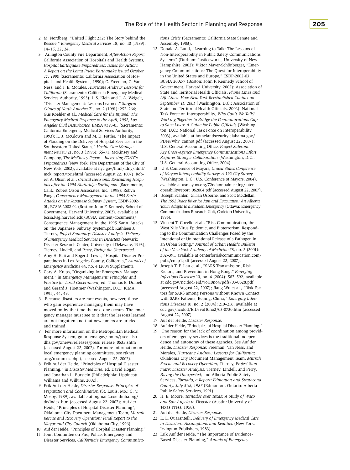- 2 M. Nordberg, "United Flight 232: The Story behind the Rescue," *Emergency Medical Services* 18, no. 10 (1989): 14–15, 22, 24.
- California Association of Hospitals and Health Systems, *17, 1990* (Sacramento: California Association of Hos- pitals and Health Systems, 1990); C. Freeman, C. Van Ness, and J. E. Morales, *Hurricane Andrew: Lessons for California* (Sacramento: California Emergency Medical Services Authority, 1993); J. S. Klein and J. A. Weigelt, "Disaster Management: Lessons Learned," *Surgical*  Gus Koehler et al., *Medical Care for the Injured: The Angeles Civil Disturbance,* EMSA #393-01 (Sacramento: California Emergency Medical Services Authority, 1993); K. J. McGlown and M. D. Fottler, "The Impact of Flooding on the Delivery of Hospital Services in the Southeastern United States," *Health Care Manage- ment Review* 21, no. 3 (1996): 55–71; McKinsey and *Preparedness* (New York: Fire Department of the City of New York, 2002), available at nyc.gov/html/fdny/html/ 01, BCSIA-2002-04 (Boston: John F. Kennedy School of Government, Harvard University, 2002), available at on\_the\_Japanese\_Subway\_System.pdf; Kathleen J. 3 Arlington County Fire Department, *After-Action Report; Hospital Earthquake Preparedness: Issues for Action: A Report on the Loma Prieta Earthquake Issued October Clinics of North America* 71, no. 2 (1991): 257–266; *Emergency Medical Response to the April, 1992, Los*  Company, *The McKinsey Report—Increasing FDNY's*  mck\_report/toc.shtml (accessed August 22, 1007); Robert A. Olson et al., *Critical Decisions: Evacuating Hospitals after the 1994 Northridge Earthquake* (Sacramento, Calif.: Robert Olson Associates, Inc., 1998); Robyn Pangi, *Consequence Management in the 1995 Sarin Attacks on the Japanese Subway System,* ESDP-2002 bcsia.ksg.harvard.edu/BCSIA\_content/documents/ Consequence\_Management\_in\_the\_1995\_Sarin\_Attacks\_ Tierney, *Project Summary: Disaster Analysis: Delivery of Emergency Medical Services in Disasters* (Newark: Disaster Research Center, University of Delaware, 1993); Tierney, Lindell, and Perry, *Facing the Unexpected*.
- 4 Amy H. Kaji and Roger J. Lewis, "Hospital Disaster Pre- paredness in Los Angeles County, California," *Annals of Emergency Medicine* 44, no. 4 (2004 Supplement).
- 5 Gary A. Kreps, "Organizing for Emergency Manage- ment," in *Emergency Management: Principles and Practice for Local Government,* ed. Thomas E. Drabek and Gerard J. Hoetmer (Washington, D.C.: ICMA, 1991), 44, 49.
- 6 Because disasters are rare events, however, those who gain experience managing them may have moved on by the time the next one occurs. The emergency manager must see to it that the lessons learned are not forgotten and that newcomers are briefed and trained.
- 7 For more information on the Metropolitan Medical Response System, go to fema.gov/mmrs/; see also dhs.gov/xnews/releases/press\_release\_0535.shtm (accessed August 22, 2007). For more information on local emergency planning committees, see rtknet .org/resources.php (accessed August 22, 2007).
- 8 Erik Auf der Heide, "Principles of Hospital Disaster Planning," in *Disaster Medicine*, ed. David Hogan Williams and Wilkins, 2002). and Jonathan L. Burstein (Philadelphia: Lippincott
- 9 Erik Auf der Heide, *Disaster Response: Principles of Preparation and Coordination* (St. Louis, Mo.: C. V. Heide, "Principles of Hospital Disaster Planning"; Mosby, 1989), available at orgmail2.coe-dmha.org/ dr/index.htm (accessed August 22, 2007); Auf der Oklahoma City Document Management Team, *Murrah Rescue and Recovery Operation: Final Report to the Mayor and City Council* (Oklahoma City, 1996).
- 
- 10 Auf der Heide, "Principles of Hospital Disaster Planning." 11 Joint Committee on Fire, Police, Emergency and
- Disaster Services, *California's Emergency Communica-*

*tions Crisis* (Sacramento: California State Senate and Assembly, 1983).

- 12 Donald A. Lund, "Learning to Talk: The Lessons of Non-Interoperability in Public Safety Communications Systems" (Durham: Justiceworks, University of New Hampshire, 2002); Viktor Mayer-Schönberger, "Emer- gency Communications: The Quest for Interoperability in the United States and Europe," ESDP-2002-03, BCSIA 2002-7 (Boston: John F. Kennedy School of Government, Harvard University, 2002); Association of State and Territorial Health Officials, *Phone Lines and September 11, 2001* (Washington, D.C.: Association of State and Territorial Health Officials, 2002); National ton, D.C.: National Task Force on Interoperability, *Requires Stronger Collaboration* (Washington, D.C.: *Life Lines: How New York Reestablished Contact on*  Task Force on Interoperability, *Why Can't We Talk? Working Together to Bridge the Communications Gap to Save Lives: A Guide for Public Officials* (Washing-2003), available at homelandsecurity.alabama.gov/ PDFs/why\_cannot.pdf (accessed August 22, 2007); U.S. General Accounting Office, *Project Safecom: Key Cross-Agency Emergency Communications Effort*  U.S. General Accounting Office, 2004).
- (Washington, D.C.: U.S. Conference of Mayors, 2004), 13 U.S. Conference of Mayors, *United States Conference of Mayors Interoperability Survey: A 192-City Survey*  available at usmayors.org/72ndannualmeeting/inter operabilityreport\_062804.pdf (accessed August 22, 2007).
- *Town Adapts to a Sudden Emergency* (Ottawa: Emergency 14 Joseph Scanlon, Gillian Osborne, and Scott McClellan, *The 1992 Peace River Ice Jam and Evacuation: An Alberta*  Communications Research Unit, Carleton University, 1996).
- 15 Vincent T. Covello et al., "Risk Communication, the West Nile Virus Epidemic, and Bioterrorism: Respond- an Urban Setting," *Journal of Urban Health: Bulletin*  ing to the Communication Challenges Posed by the Intentional or Unintentional Release of a Pathogen in *of the New York Academy of Medicine* 78, no. 2 (2001): 382–391, available at centerforriskcommunication.com/ pubs/crc-p1.pdf (accessed August 22, 2007).
- 16 Joseph T. F. Lau et al., "SARS Transmission, Risk Factors, and Prevention in Hong Kong," *Emerging*  (accessed August 22, 2007); Jiang Wu et al., "Risk Fac- tors for SARS among Persons without Known Contact with SARS Patients, Beijing, China," *Emerging Infec-* cdc.gov/ncidod/EID/vol10no2/03-0730.htm (accessed *Infectious Diseases* 10, no. 4 (2004): 587–592, available at cdc.gov/ncidod/eid/vol10no4/pdfs/03-0628.pdf *tious Diseases* 10, no. 2 (2004): 210–216, available at August 22, 2007).
- 17 Auf der Heide, *Disaster Response*.
- 18 Auf der Heide, "Principles of Hospital Disaster Planning."
- Heide, *Disaster Response;* Freeman, Van Ness, and *County, July 31st, 1987* (Edmonton, Ontario: Alberta 19 One reason for the lack of coordination among providers of emergency services is the traditional independence and autonomy of these agencies. See Auf der Morales, *Hurricane Andrew: Lessons for California;*  Oklahoma City Document Management Team, *Murrah Rescue and Recovery Operation;* Tierney, *Project Summary: Disaster Analysis;* Tierney, Lindell, and Perry, *Facing the Unexpected;* and Alberta Public Safety Services, *Tornado, a Report: Edmonton and Strathcona*  Public Safety Services, 1991).
- 20 H. E. Moore, *Tornados over Texas: A Study of Waco and San Angelo in Disaster* (Austin: University of Texas Press, 1958).
- 21 Auf der Heide, *Disaster Response*.
- 22 E. L. Quarantelli, *Delivery of Emergency Medical Care in Disasters: Assumptions and Realities* (New York: Irvington Publishers, 1983).
- 23 Erik Auf der Heide, "The Importance of Evidence- Based Disaster Planning," *Annals of Emergency*